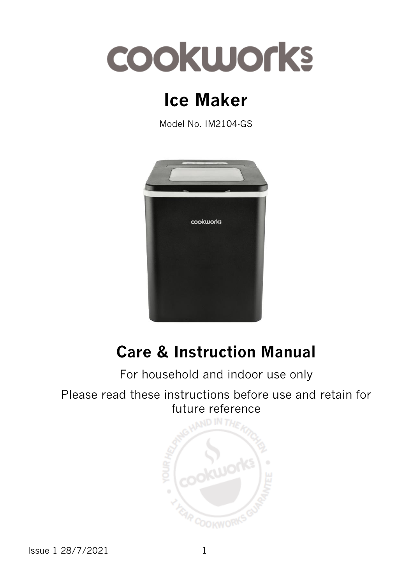## **COOKWOrks**

## **Ice Maker**

Model No. IM2104-GS



### **Care & Instruction Manual**

For household and indoor use only

Please read these instructions before use and retain for future reference



Issue 1 28/7/2021 1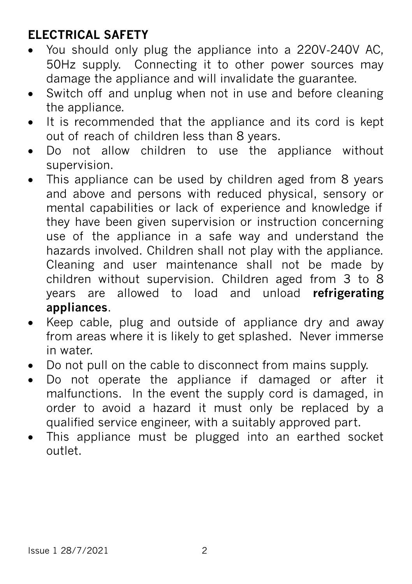#### **ELECTRICAL SAFETY**

- You should only plug the appliance into a 220V‐240V AC, 50Hz supply. Connecting it to other power sources may damage the appliance and will invalidate the guarantee.
- Switch off and unplug when not in use and before cleaning the appliance.
- It is recommended that the appliance and its cord is kept out of reach of children less than 8 years.
- Do not allow children to use the appliance without supervision.
- This appliance can be used by children aged from 8 years and above and persons with reduced physical, sensory or mental capabilities or lack of experience and knowledge if they have been given supervision or instruction concerning use of the appliance in a safe way and understand the hazards involved. Children shall not play with the appliance. Cleaning and user maintenance shall not be made by children without supervision. Children aged from 3 to 8 years are allowed to load and unload **refrigerating appliances**.
- Keep cable, plug and outside of appliance dry and away from areas where it is likely to get splashed. Never immerse in water.
- Do not pull on the cable to disconnect from mains supply.
- Do not operate the appliance if damaged or after it malfunctions. In the event the supply cord is damaged, in order to avoid a hazard it must only be replaced by a qualified service engineer, with a suitably approved part.
- This appliance must be plugged into an earthed socket outlet.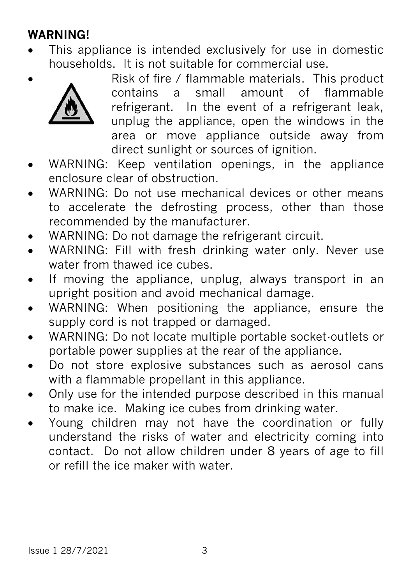#### **WARNING!**

 This appliance is intended exclusively for use in domestic households. It is not suitable for commercial use.



 Risk of fire / flammable materials. This product contains a small amount of flammable refrigerant. In the event of a refrigerant leak, unplug the appliance, open the windows in the area or move appliance outside away from direct sunlight or sources of ignition.

- WARNING: Keep ventilation openings, in the appliance enclosure clear of obstruction.
- WARNING: Do not use mechanical devices or other means to accelerate the defrosting process, other than those recommended by the manufacturer.
- WARNING: Do not damage the refrigerant circuit.
- WARNING: Fill with fresh drinking water only. Never use water from thawed ice cubes.
- If moving the appliance, unplug, always transport in an upright position and avoid mechanical damage.
- WARNING: When positioning the appliance, ensure the supply cord is not trapped or damaged.
- WARNING: Do not locate multiple portable socket-outlets or portable power supplies at the rear of the appliance.
- Do not store explosive substances such as aerosol cans with a flammable propellant in this appliance.
- Only use for the intended purpose described in this manual to make ice. Making ice cubes from drinking water.
- Young children may not have the coordination or fully understand the risks of water and electricity coming into contact. Do not allow children under 8 years of age to fill or refill the ice maker with water.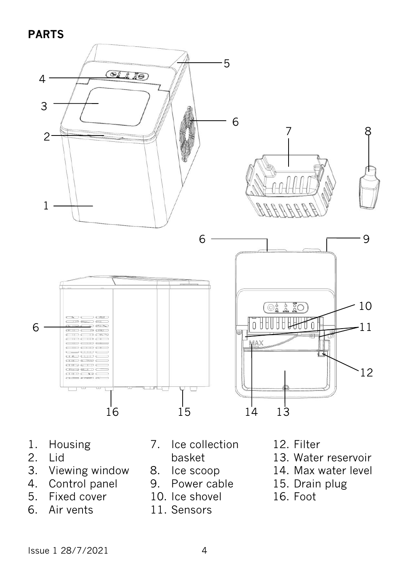#### **PARTS**



- 1. Housing<br>2. Lid
- 2. Lid<br>3. View
- Viewing window
- 4. Control panel<br>5. Fixed cover
- Fixed cover
- 6. Air vents
- 7. Ice collection
	- basket
- 8. Ice scoop
- 9. Power cable
- 10. Ice shovel
- 11. Sensors
- 12. Filter
- 13. Water reservoir
- 14. Max water level
- 15. Drain plug
- 16. Foot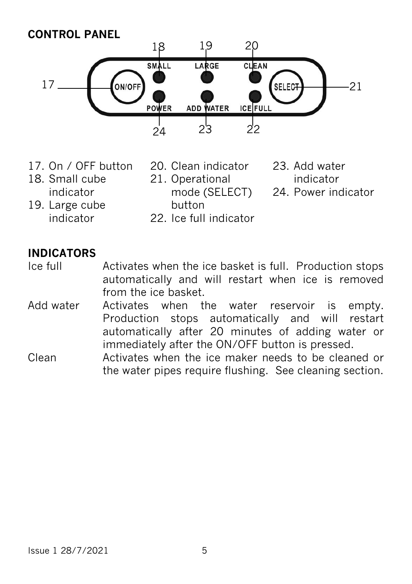#### **CONTROL PANEL**



- 17. On / OFF button
- 18. Small cube indicator
- 21. Operational mode (SELECT) button

20. Clean indicator

- 23. Add water indicator
- 24. Power indicator
- 19. Large cube indicator
- 
- 22. Ice full indicator

#### **INDICATORS**

- Ice full Activates when the ice basket is full. Production stops automatically and will restart when ice is removed from the ice basket.
- Add water Activates when the water reservoir is empty. Production stops automatically and will restart automatically after 20 minutes of adding water or immediately after the ON/OFF button is pressed.
- Clean Activates when the ice maker needs to be cleaned or the water pipes require flushing. See cleaning section.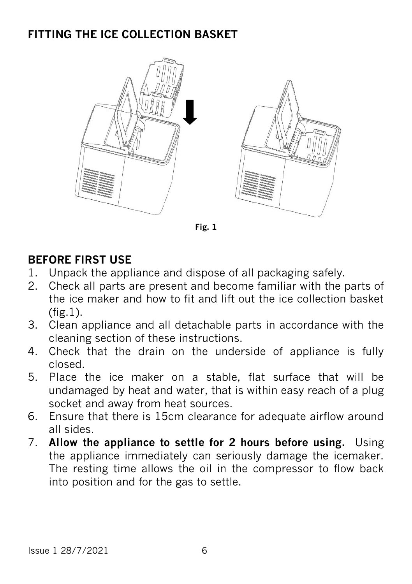#### **FITTING THE ICE COLLECTION BASKET**



**Fig. 1**

#### **BEFORE FIRST USE**

- 1. Unpack the appliance and dispose of all packaging safely.
- 2. Check all parts are present and become familiar with the parts of the ice maker and how to fit and lift out the ice collection basket (fig.1).
- 3. Clean appliance and all detachable parts in accordance with the cleaning section of these instructions.
- 4. Check that the drain on the underside of appliance is fully closed.
- 5. Place the ice maker on a stable, flat surface that will be undamaged by heat and water, that is within easy reach of a plug socket and away from heat sources.
- 6. Ensure that there is 15cm clearance for adequate airflow around all sides.
- 7. **Allow the appliance to settle for 2 hours before using.** Using the appliance immediately can seriously damage the icemaker. The resting time allows the oil in the compressor to flow back into position and for the gas to settle.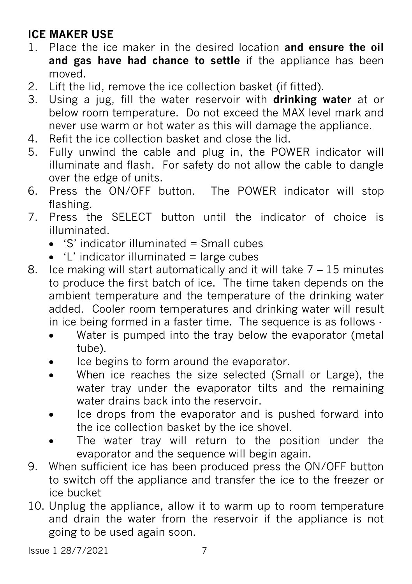#### **ICE MAKER USE**

- 1. Place the ice maker in the desired location **and ensure the oil and gas have had chance to settle** if the appliance has been moved.
- 2. Lift the lid, remove the ice collection basket (if fitted).
- 3. Using a jug, fill the water reservoir with **drinking water** at or below room temperature. Do not exceed the MAX level mark and never use warm or hot water as this will damage the appliance.
- 4. Refit the ice collection basket and close the lid.
- 5. Fully unwind the cable and plug in, the POWER indicator will illuminate and flash. For safety do not allow the cable to dangle over the edge of units.
- 6. Press the ON/OFF button. The POWER indicator will stop flashing.
- 7. Press the SELECT button until the indicator of choice is illuminated.
	- $\bullet$  'S' indicator illuminated = Small cubes
	- $\bullet$  'L' indicator illuminated = large cubes
- 8. Ice making will start automatically and it will take 7 15 minutes to produce the first batch of ice. The time taken depends on the ambient temperature and the temperature of the drinking water added. Cooler room temperatures and drinking water will result in ice being formed in a faster time. The sequence is as follows -
	- Water is pumped into the tray below the evaporator (metal tube).
	- Ice begins to form around the evaporator.
	- When ice reaches the size selected (Small or Large), the water tray under the evaporator tilts and the remaining water drains back into the reservoir
	- Ice drops from the evaporator and is pushed forward into the ice collection basket by the ice shovel.
	- The water tray will return to the position under the evaporator and the sequence will begin again.
- 9. When sufficient ice has been produced press the ON/OFF button to switch off the appliance and transfer the ice to the freezer or ice bucket
- 10. Unplug the appliance, allow it to warm up to room temperature and drain the water from the reservoir if the appliance is not going to be used again soon.

Issue 1 28/7/2021 7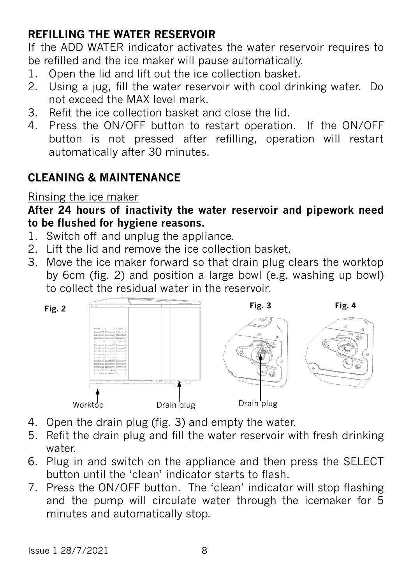#### **REFILLING THE WATER RESERVOIR**

If the ADD WATER indicator activates the water reservoir requires to be refilled and the ice maker will pause automatically.

- 1. Open the lid and lift out the ice collection basket.
- 2. Using a jug, fill the water reservoir with cool drinking water. Do not exceed the MAX level mark.
- 3. Refit the ice collection basket and close the lid.
- 4. Press the ON/OFF button to restart operation. If the ON/OFF button is not pressed after refilling, operation will restart automatically after 30 minutes.

#### **CLEANING & MAINTENANCE**

#### Rinsing the ice maker

**After 24 hours of inactivity the water reservoir and pipework need to be flushed for hygiene reasons.**

- 1. Switch off and unplug the appliance.
- 2. Lift the lid and remove the ice collection basket.
- 3. Move the ice maker forward so that drain plug clears the worktop by 6cm (fig. 2) and position a large bowl (e.g. washing up bowl) to collect the residual water in the reservoir.



- 4. Open the drain plug (fig. 3) and empty the water.
- 5. Refit the drain plug and fill the water reservoir with fresh drinking water
- 6. Plug in and switch on the appliance and then press the SELECT button until the 'clean' indicator starts to flash.
- 7. Press the ON/OFF button. The 'clean' indicator will stop flashing and the pump will circulate water through the icemaker for 5 minutes and automatically stop.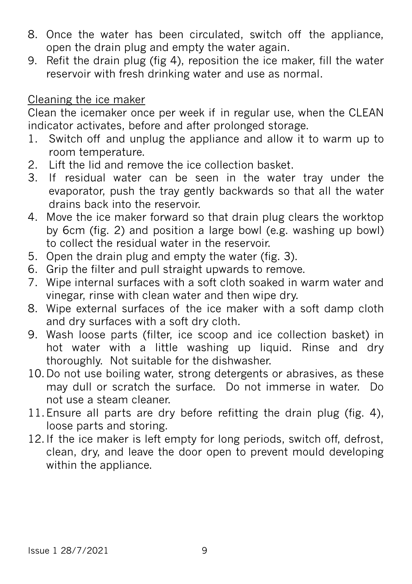- 8. Once the water has been circulated, switch off the appliance, open the drain plug and empty the water again.
- 9. Refit the drain plug (fig 4), reposition the ice maker, fill the water reservoir with fresh drinking water and use as normal.

#### Cleaning the ice maker

Clean the icemaker once per week if in regular use, when the CLEAN indicator activates, before and after prolonged storage.

- 1. Switch off and unplug the appliance and allow it to warm up to room temperature.
- 2. Lift the lid and remove the ice collection basket.
- 3. If residual water can be seen in the water tray under the evaporator, push the tray gently backwards so that all the water drains back into the reservoir.
- 4. Move the ice maker forward so that drain plug clears the worktop by 6cm (fig. 2) and position a large bowl (e.g. washing up bowl) to collect the residual water in the reservoir.
- 5. Open the drain plug and empty the water (fig. 3).
- 6. Grip the filter and pull straight upwards to remove.
- 7. Wipe internal surfaces with a soft cloth soaked in warm water and vinegar, rinse with clean water and then wipe dry.
- 8. Wipe external surfaces of the ice maker with a soft damp cloth and dry surfaces with a soft dry cloth.
- 9. Wash loose parts (filter, ice scoop and ice collection basket) in hot water with a little washing up liquid. Rinse and dry thoroughly. Not suitable for the dishwasher.
- 10.Do not use boiling water, strong detergents or abrasives, as these may dull or scratch the surface. Do not immerse in water. Do not use a steam cleaner.
- 11.Ensure all parts are dry before refitting the drain plug (fig. 4), loose parts and storing.
- 12.If the ice maker is left empty for long periods, switch off, defrost, clean, dry, and leave the door open to prevent mould developing within the appliance.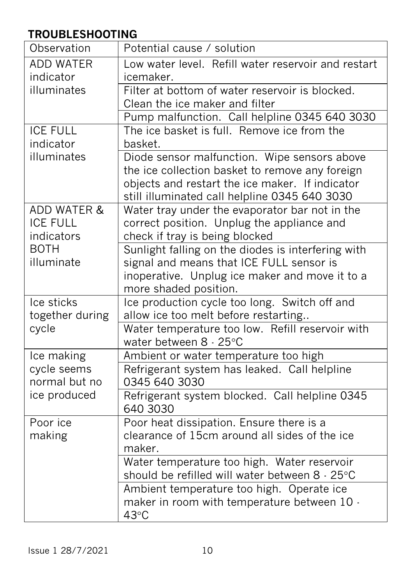#### **TROUBLESHOOTING**

| Observation            | Potential cause / solution                                                            |
|------------------------|---------------------------------------------------------------------------------------|
| <b>ADD WATER</b>       | Low water level. Refill water reservoir and restart                                   |
| indicator              | icemaker.                                                                             |
| illuminates            | Filter at bottom of water reservoir is blocked.                                       |
|                        | Clean the ice maker and filter                                                        |
|                        | Pump malfunction. Call helpline 0345 640 3030                                         |
| <b>ICE FULL</b>        | The ice basket is full. Remove ice from the                                           |
| indicator              | basket.                                                                               |
| illuminates            | Diode sensor malfunction. Wipe sensors above                                          |
|                        | the ice collection basket to remove any foreign                                       |
|                        | objects and restart the ice maker. If indicator                                       |
|                        | still illuminated call helpline 0345 640 3030                                         |
| <b>ADD WATER &amp;</b> | Water tray under the evaporator bar not in the                                        |
| <b>ICE FULL</b>        | correct position. Unplug the appliance and                                            |
| indicators             | check if tray is being blocked                                                        |
| <b>BOTH</b>            | Sunlight falling on the diodes is interfering with                                    |
| illuminate             | signal and means that ICE FULL sensor is                                              |
|                        | inoperative. Unplug ice maker and move it to a                                        |
| Ice sticks             | more shaded position.                                                                 |
| together during        | Ice production cycle too long. Switch off and<br>allow ice too melt before restarting |
| cycle                  | Water temperature too low. Refill reservoir with                                      |
|                        | water between 8 - 25°C                                                                |
| Ice making             | Ambient or water temperature too high                                                 |
| cycle seems            | Refrigerant system has leaked. Call helpline                                          |
| normal but no          | 0345 640 3030                                                                         |
| ice produced           | Refrigerant system blocked. Call helpline 0345<br>640 3030                            |
| Poor ice               | Poor heat dissipation. Ensure there is a                                              |
| making                 | clearance of 15cm around all sides of the ice                                         |
|                        | maker.                                                                                |
|                        | Water temperature too high. Water reservoir                                           |
|                        | should be refilled will water between 8 - 25°C                                        |
|                        | Ambient temperature too high. Operate ice                                             |
|                        | maker in room with temperature between 10 -                                           |
|                        | 43°C                                                                                  |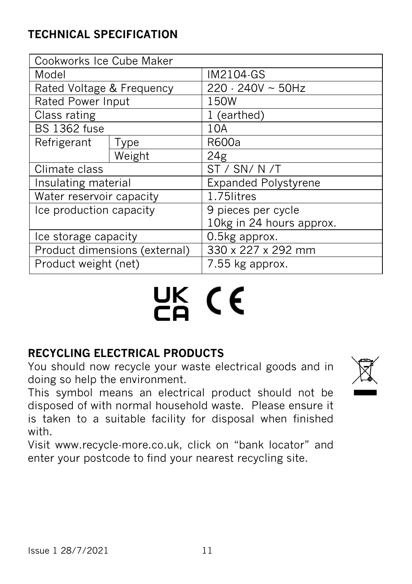#### **TECHNICAL SPECIFICATION**

| Cookworks Ice Cube Maker      |             |                             |
|-------------------------------|-------------|-----------------------------|
| Model                         |             | IM2104-GS                   |
| Rated Voltage & Frequency     |             | $220 - 240V \sim 50Hz$      |
| <b>Rated Power Input</b>      |             | 150W                        |
| Class rating                  |             | 1 (earthed)                 |
| <b>BS 1362 fuse</b>           |             | 10A                         |
| Refrigerant                   | <b>Type</b> | R600a                       |
|                               | Weight      | 24g                         |
| Climate class                 |             | ST / SN/ N /T               |
| Insulating material           |             | <b>Expanded Polystyrene</b> |
| Water reservoir capacity      |             | 1.75litres                  |
| Ice production capacity       |             | 9 pieces per cycle          |
|                               |             | 10kg in 24 hours approx.    |
| Ice storage capacity          |             | 0.5kg approx.               |
| Product dimensions (external) |             | 330 x 227 x 292 mm          |
| Product weight (net)          |             | 7.55 kg approx.             |

# UK CE

#### **RECYCLING ELECTRICAL PRODUCTS**

You should now recycle your waste electrical goods and in doing so help the environment.

This symbol means an electrical product should not be disposed of with normal household waste. Please ensure it is taken to a suitable facility for disposal when finished with.

Visit www.recycle-more.co.uk, click on "bank locator" and enter your postcode to find your nearest recycling site.

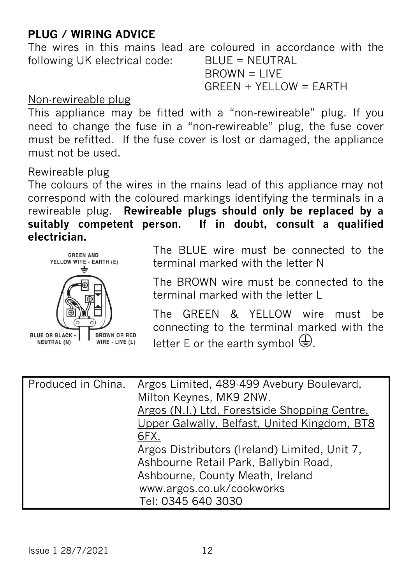#### **PLUG / WIRING ADVICE**

The wires in this mains lead are coloured in accordance with the following UK electrical code: BLUE = NEUTRAL  $B$ R $OWN = I$  IVF

 $G$ REEN + YELLOW = EARTH

#### Non-rewireable plug

This appliance may be fitted with a "non-rewireable" plug. If you need to change the fuse in a "non‐rewireable" plug, the fuse cover must be refitted. If the fuse cover is lost or damaged, the appliance must not be used.

#### Rewireable plug

The colours of the wires in the mains lead of this appliance may not correspond with the coloured markings identifying the terminals in a rewireable plug. **Rewireable plugs should only be replaced by a suitably competent person. If in doubt, consult a qualified electrician.** 



The BLUE wire must be connected to the terminal marked with the letter N

The BROWN wire must be connected to the terminal marked with the letter L

The GREEN & YELLOW wire must be connecting to the terminal marked with the letter E or the earth symbol  $\bigoplus$ .

| Produced in China. | Argos Limited, 489-499 Avebury Boulevard,<br>Milton Keynes, MK9 2NW.<br>Argos (N.I.) Ltd, Forestside Shopping Centre,<br>Upper Galwally, Belfast, United Kingdom, BT8<br>6FX. |
|--------------------|-------------------------------------------------------------------------------------------------------------------------------------------------------------------------------|
|                    | Argos Distributors (Ireland) Limited, Unit 7,<br>Ashbourne Retail Park, Ballybin Road,<br>Ashbourne, County Meath, Ireland<br>www.argos.co.uk/cookworks<br>Tel: 0345 640 3030 |